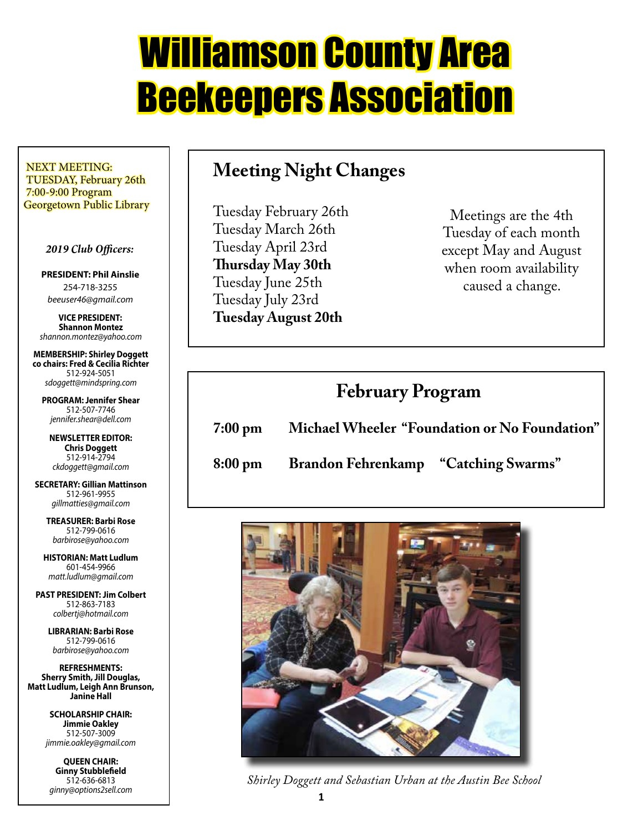# Williamson County Area Beekeepers Association

 NEXT MEETING: TUESDAY, February 26th 7:00-9:00 Program Georgetown Public Library

#### *2019 Club Officers:*

**PRESIDENT: Phil Ainslie** 254-718-3255 *beeuser46@gmail.com*

**VICE PRESIDENT: Shannon Montez** *shannon.montez@yahoo.com*

**MEMBERSHIP: Shirley Doggett co chairs: Fred & Cecilia Richter** 512-924-5051 *sdoggett@mindspring.com*

**PROGRAM: Jennifer Shear** 512-507-7746 *jennifer.shear@dell.com*

**NEWSLETTER EDITOR: Chris Doggett** 512-914-2794 *ckdoggett@gmail.com*

**SECRETARY: Gillian Mattinson** 512-961-9955 *gillmatties@gmail.com*

> **TREASURER: Barbi Rose** 512-799-0616 *barbirose@yahoo.com*

**HISTORIAN: Matt Ludlum** 601-454-9966 *matt.ludlum@gmail.com*

**PAST PRESIDENT: Jim Colbert** 512-863-7183 *colbertj@hotmail.com*

> **LIBRARIAN: Barbi Rose** 512-799-0616 *barbirose@yahoo.com*

**REFRESHMENTS: Sherry Smith, Jill Douglas, Matt Ludlum, Leigh Ann Brunson, Janine Hall**

> **SCHOLARSHIP CHAIR: Jimmie Oakley** 512-507-3009 *jimmie.oakley@gmail.com*

**QUEEN CHAIR: Ginny Stubblefield** 512-636-6813 *ginny@options2sell.com*

## **Meeting Night Changes**

Tuesday February 26th Tuesday March 26th Tuesday April 23rd **Thursday May 30th** Tuesday June 25th Tuesday July 23rd **Tuesday August 20th**

Meetings are the 4th Tuesday of each month except May and August when room availability caused a change.

## **February Program**

**7:00 pm Michael Wheeler "Foundation or No Foundation"**

**8:00 pm Brandon Fehrenkamp "Catching Swarms"**



*Shirley Doggett and Sebastian Urban at the Austin Bee School*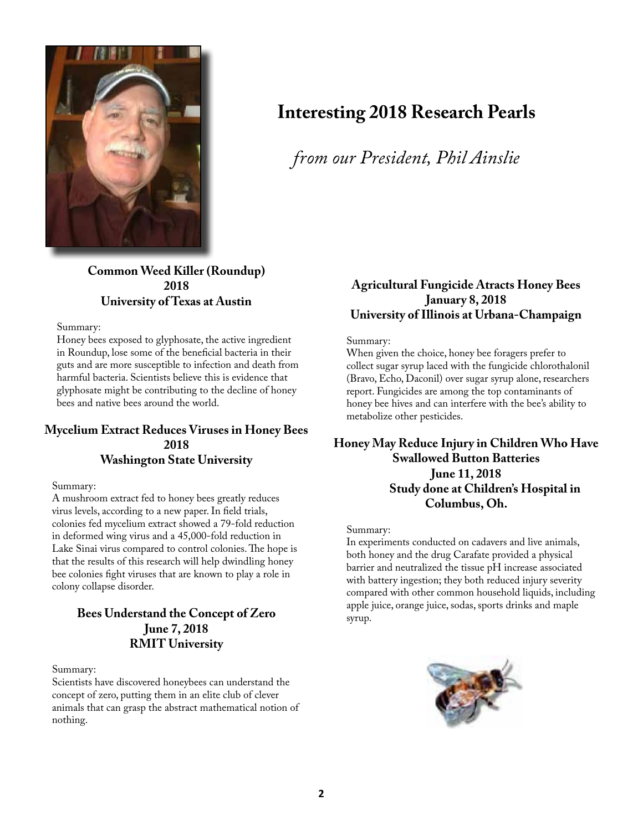

## **Interesting 2018 Research Pearls**

*from our President, Phil Ainslie*

**Common Weed Killer (Roundup) 2018 University of Texas at Austin**

Summary:

Honey bees exposed to glyphosate, the active ingredient in Roundup, lose some of the beneficial bacteria in their guts and are more susceptible to infection and death from harmful bacteria. Scientists believe this is evidence that glyphosate might be contributing to the decline of honey bees and native bees around the world.

#### **Mycelium Extract Reduces Viruses in Honey Bees 2018 Washington State University**

Summary:

A mushroom extract fed to honey bees greatly reduces virus levels, according to a new paper. In field trials, colonies fed mycelium extract showed a 79-fold reduction in deformed wing virus and a 45,000-fold reduction in Lake Sinai virus compared to control colonies. The hope is that the results of this research will help dwindling honey bee colonies fight viruses that are known to play a role in colony collapse disorder.

#### **Bees Understand the Concept of Zero June 7, 2018 RMIT University**

Summary:

Scientists have discovered honeybees can understand the concept of zero, putting them in an elite club of clever animals that can grasp the abstract mathematical notion of nothing.

#### **Agricultural Fungicide Atracts Honey Bees January 8, 2018 University of Illinois at Urbana-Champaign**

Summary:

When given the choice, honey bee foragers prefer to collect sugar syrup laced with the fungicide chlorothalonil (Bravo, Echo, Daconil) over sugar syrup alone, researchers report. Fungicides are among the top contaminants of honey bee hives and can interfere with the bee's ability to metabolize other pesticides.

#### **Honey May Reduce Injury in Children Who Have Swallowed Button Batteries June 11, 2018 Study done at Children's Hospital in Columbus, Oh.**

#### Summary:

In experiments conducted on cadavers and live animals, both honey and the drug Carafate provided a physical barrier and neutralized the tissue pH increase associated with battery ingestion; they both reduced injury severity compared with other common household liquids, including apple juice, orange juice, sodas, sports drinks and maple syrup.

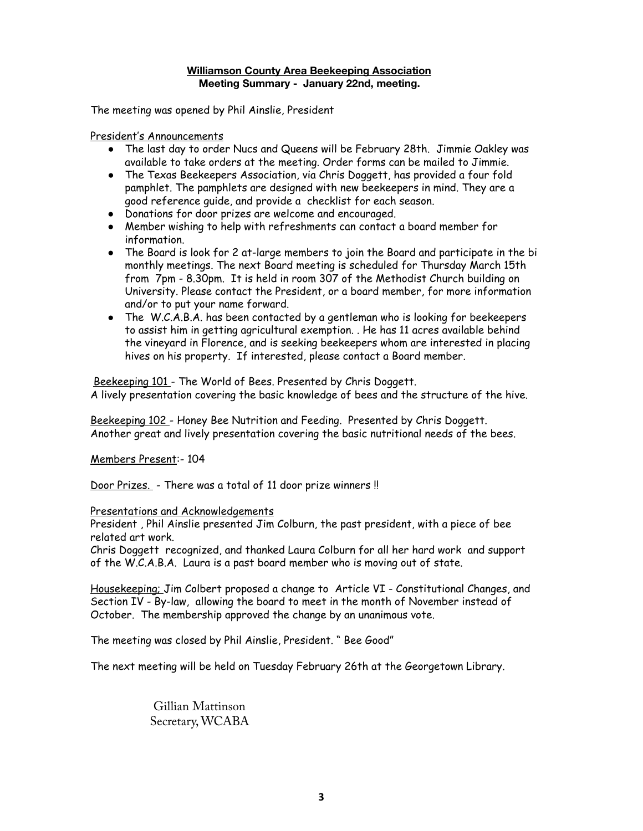#### **Williamson County Area Beekeeping Association Meeting Summary - January 22nd, meeting.**

The meeting was opened by Phil Ainslie, President

President's Announcements

- The last day to order Nucs and Queens will be February 28th. Jimmie Oakley was available to take orders at the meeting. Order forms can be mailed to Jimmie.
- The Texas Beekeepers Association, via Chris Doggett, has provided a four fold pamphlet. The pamphlets are designed with new beekeepers in mind. They are a good reference guide, and provide a checklist for each season.
- Donations for door prizes are welcome and encouraged.
- Member wishing to help with refreshments can contact a board member for information.
- The Board is look for 2 at-large members to join the Board and participate in the bi monthly meetings. The next Board meeting is scheduled for Thursday March 15th from 7pm - 8.30pm. It is held in room 307 of the Methodist Church building on University. Please contact the President, or a board member, for more information and/or to put your name forward.
- The W.C.A.B.A. has been contacted by a gentleman who is looking for beekeepers to assist him in getting agricultural exemption. . He has 11 acres available behind the vineyard in Florence, and is seeking beekeepers whom are interested in placing hives on his property. If interested, please contact a Board member.

Beekeeping 101 - The World of Bees. Presented by Chris Doggett. A lively presentation covering the basic knowledge of bees and the structure of the hive.

Beekeeping 102 - Honey Bee Nutrition and Feeding. Presented by Chris Doggett. Another great and lively presentation covering the basic nutritional needs of the bees.

Members Present:- 104

Door Prizes. - There was a total of 11 door prize winners !!

#### Presentations and Acknowledgements

President , Phil Ainslie presented Jim Colburn, the past president, with a piece of bee related art work.

Chris Doggett recognized, and thanked Laura Colburn for all her hard work and support of the W.C.A.B.A. Laura is a past board member who is moving out of state.

Housekeeping; Jim Colbert proposed a change to Article VI - Constitutional Changes, and Section IV - By-law, allowing the board to meet in the month of November instead of October. The membership approved the change by an unanimous vote.

The meeting was closed by Phil Ainslie, President. " Bee Good"

The next meeting will be held on Tuesday February 26th at the Georgetown Library.

Gillian Mattinson Secretary, WCABA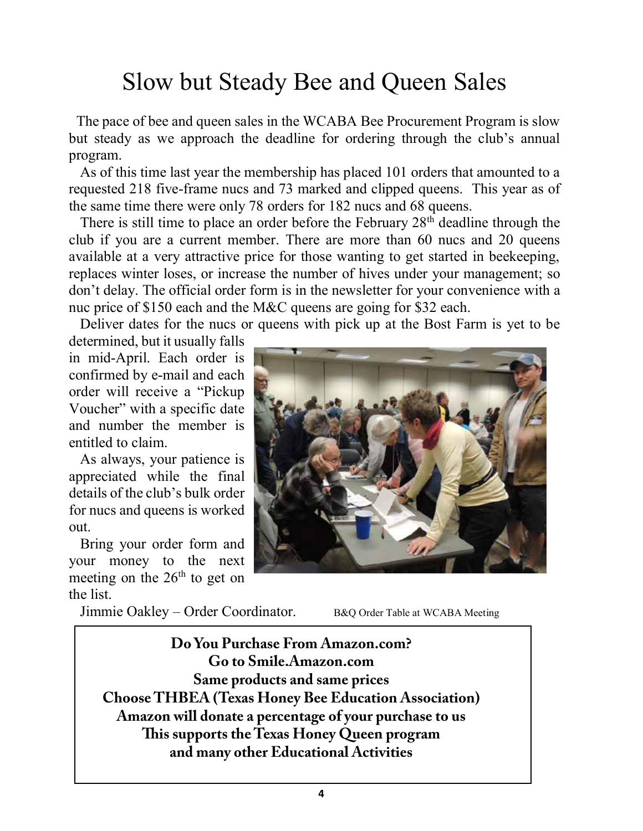## Slow but Steady Bee and Queen Sales

 The pace of bee and queen sales in the WCABA Bee Procurement Program is slow but steady as we approach the deadline for ordering through the club's annual program.

 As of this time last year the membership has placed 101 orders that amounted to a requested 218 five-frame nucs and 73 marked and clipped queens. This year as of the same time there were only 78 orders for 182 nucs and 68 queens.

There is still time to place an order before the February  $28<sup>th</sup>$  deadline through the club if you are a current member. There are more than 60 nucs and 20 queens available at a very attractive price for those wanting to get started in beekeeping, replaces winter loses, or increase the number of hives under your management; so don't delay. The official order form is in the newsletter for your convenience with a nuc price of \$150 each and the M&C queens are going for \$32 each.

Deliver dates for the nucs or queens with pick up at the Bost Farm is yet to be

determined, but it usually falls in mid-April. Each order is confirmed by e-mail and each order will receive a "Pickup Voucher" with a specific date and number the member is entitled to claim.

 As always, your patience is appreciated while the final details of the club's bulk order for nucs and queens is worked out.

 Bring your order form and your money to the next meeting on the  $26<sup>th</sup>$  to get on the list.



Jimmie Oakley – Order Coordinator. B&Q Order Table at WCABA Meeting

 **Do You Purchase From Amazon.com? Go to Smile.Amazon.com Same products and same prices Choose THBEA (Texas Honey Bee Education Association) Amazon will donate a percentage of your purchase to us This supports the Texas Honey Queen program and many other Educational Activities**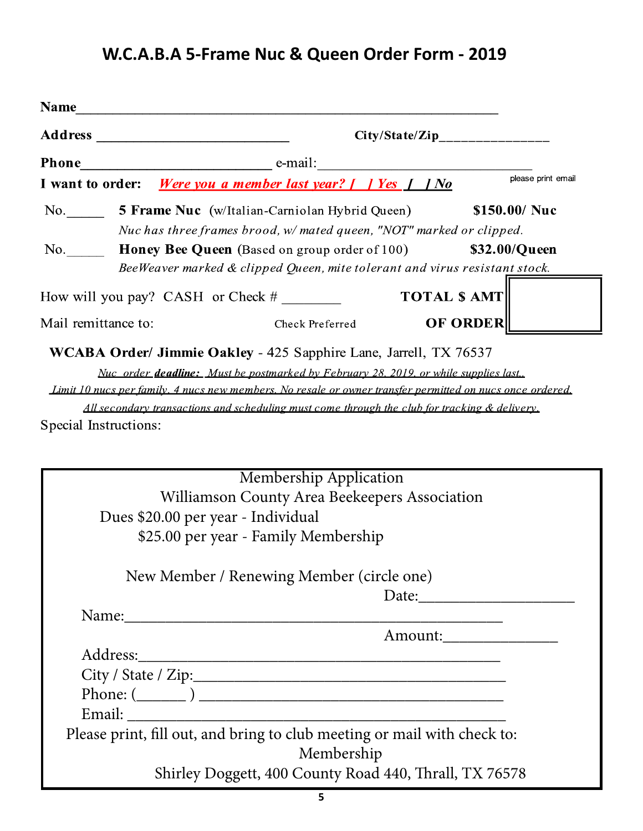## **W.C.A.B.A 5-Frame Nuc & Queen Order Form - 2019**

| <b>Name</b>         |  |                                                                                                                                                  |                     |
|---------------------|--|--------------------------------------------------------------------------------------------------------------------------------------------------|---------------------|
| <b>Address</b>      |  |                                                                                                                                                  |                     |
| <b>Phone</b>        |  | e-mail:                                                                                                                                          |                     |
| I want to order:    |  | Were you a member last year? $\int$   Yes $\int$   No                                                                                            | please print email  |
| No.                 |  | <b>5 Frame Nuc</b> (w/Italian-Carniolan Hybrid Queen)<br>Nuc has three frames brood, $w$ mated queen, "NOT" marked or clipped.                   | \$150.00/ Nuc       |
| No.                 |  | <b>Honey Bee Queen</b> (Based on group order of 100) \$32.00/Queen<br>BeeWeaver marked & clipped Queen, mite tolerant and virus resistant stock. |                     |
|                     |  | How will you pay? CASH or Check $#$                                                                                                              | <b>TOTAL \$ AMT</b> |
| Mail remittance to: |  | Check Preferred                                                                                                                                  | <b>OF ORDER</b>     |
|                     |  | WCABA Order/ Jimmie Oakley - 425 Sapphire Lane, Jarrell, TX 76537                                                                                |                     |
|                     |  | Nuc order <b>deadline:</b> Must be postmarked by February 28, 2019, or while supplies last.                                                      |                     |
|                     |  | Limit 10 nucs per family, 4 nucs new members. No resale or owner transfer permitted on nucs once ordered.                                        |                     |

All secondary transactions and scheduling must come through the club for tracking & delivery.

Special Instructions:

| Membership Application                                                                                                                                                                                                                                                                                                                                                                                                                            |  |  |  |  |
|---------------------------------------------------------------------------------------------------------------------------------------------------------------------------------------------------------------------------------------------------------------------------------------------------------------------------------------------------------------------------------------------------------------------------------------------------|--|--|--|--|
| Williamson County Area Beekeepers Association                                                                                                                                                                                                                                                                                                                                                                                                     |  |  |  |  |
| Dues \$20.00 per year - Individual                                                                                                                                                                                                                                                                                                                                                                                                                |  |  |  |  |
| \$25.00 per year - Family Membership                                                                                                                                                                                                                                                                                                                                                                                                              |  |  |  |  |
| New Member / Renewing Member (circle one)                                                                                                                                                                                                                                                                                                                                                                                                         |  |  |  |  |
| Date: $\frac{1}{\sqrt{1-\frac{1}{2}} \cdot \frac{1}{2} \cdot \frac{1}{2} \cdot \frac{1}{2} \cdot \frac{1}{2} \cdot \frac{1}{2} \cdot \frac{1}{2} \cdot \frac{1}{2} \cdot \frac{1}{2} \cdot \frac{1}{2} \cdot \frac{1}{2} \cdot \frac{1}{2} \cdot \frac{1}{2} \cdot \frac{1}{2} \cdot \frac{1}{2} \cdot \frac{1}{2} \cdot \frac{1}{2} \cdot \frac{1}{2} \cdot \frac{1}{2} \cdot \frac{1}{2} \cdot \frac{1}{2} \cdot \frac{1}{2} \cdot \frac{1}{2}$ |  |  |  |  |
| Name: Name and the second contract of the second contract of the second contract of the second contract of the second contract of the second contract of the second contract of the second contract of the second contract of                                                                                                                                                                                                                     |  |  |  |  |
|                                                                                                                                                                                                                                                                                                                                                                                                                                                   |  |  |  |  |
|                                                                                                                                                                                                                                                                                                                                                                                                                                                   |  |  |  |  |
|                                                                                                                                                                                                                                                                                                                                                                                                                                                   |  |  |  |  |
|                                                                                                                                                                                                                                                                                                                                                                                                                                                   |  |  |  |  |
|                                                                                                                                                                                                                                                                                                                                                                                                                                                   |  |  |  |  |
| Please print, fill out, and bring to club meeting or mail with check to:                                                                                                                                                                                                                                                                                                                                                                          |  |  |  |  |
| Membership                                                                                                                                                                                                                                                                                                                                                                                                                                        |  |  |  |  |
| Shirley Doggett, 400 County Road 440, Thrall, TX 76578                                                                                                                                                                                                                                                                                                                                                                                            |  |  |  |  |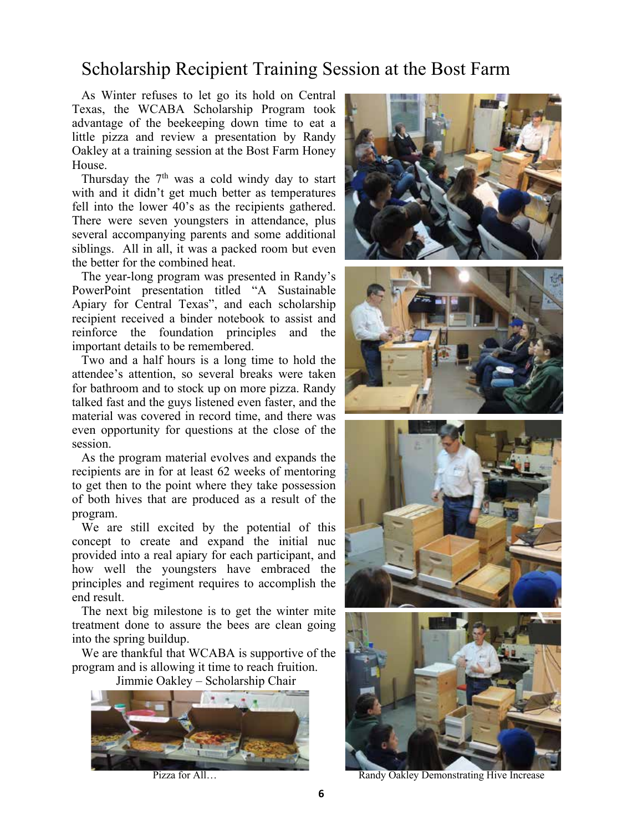## Scholarship Recipient Training Session at the Bost Farm

 As Winter refuses to let go its hold on Central Texas, the WCABA Scholarship Program took advantage of the beekeeping down time to eat a little pizza and review a presentation by Randy Oakley at a training session at the Bost Farm Honey House.

Thursday the  $7<sup>th</sup>$  was a cold windy day to start with and it didn't get much better as temperatures fell into the lower 40's as the recipients gathered. There were seven youngsters in attendance, plus several accompanying parents and some additional siblings. All in all, it was a packed room but even the better for the combined heat.

 The year-long program was presented in Randy's PowerPoint presentation titled "A Sustainable Apiary for Central Texas", and each scholarship recipient received a binder notebook to assist and reinforce the foundation principles and the important details to be remembered.

 Two and a half hours is a long time to hold the attendee's attention, so several breaks were taken for bathroom and to stock up on more pizza. Randy talked fast and the guys listened even faster, and the material was covered in record time, and there was even opportunity for questions at the close of the session.

 As the program material evolves and expands the recipients are in for at least 62 weeks of mentoring to get then to the point where they take possession of both hives that are produced as a result of the program.

 We are still excited by the potential of this concept to create and expand the initial nuc provided into a real apiary for each participant, and how well the youngsters have embraced the principles and regiment requires to accomplish the end result.

 The next big milestone is to get the winter mite treatment done to assure the bees are clean going into the spring buildup.

 We are thankful that WCABA is supportive of the program and is allowing it time to reach fruition.

Jimmie Oakley – Scholarship Chair











Pizza for All… **Randy Oakley Demonstrating Hive Increase**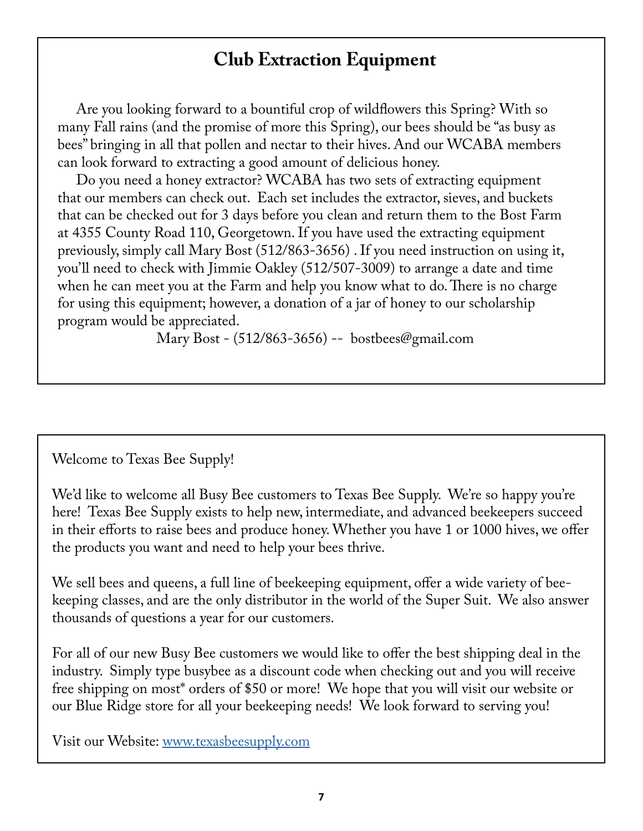## **Club Extraction Equipment**

 Are you looking forward to a bountiful crop of wildflowers this Spring? With so many Fall rains (and the promise of more this Spring), our bees should be "as busy as bees" bringing in all that pollen and nectar to their hives. And our WCABA members can look forward to extracting a good amount of delicious honey.

 Do you need a honey extractor? WCABA has two sets of extracting equipment that our members can check out. Each set includes the extractor, sieves, and buckets that can be checked out for 3 days before you clean and return them to the Bost Farm at 4355 County Road 110, Georgetown. If you have used the extracting equipment previously, simply call Mary Bost (512/863-3656) . If you need instruction on using it, you'll need to check with Jimmie Oakley (512/507-3009) to arrange a date and time when he can meet you at the Farm and help you know what to do. There is no charge for using this equipment; however, a donation of a jar of honey to our scholarship program would be appreciated.

Mary Bost - (512/863-3656) -- bostbees@gmail.com

## Welcome to Texas Bee Supply!

We'd like to welcome all Busy Bee customers to Texas Bee Supply. We're so happy you're here! Texas Bee Supply exists to help new, intermediate, and advanced beekeepers succeed in their efforts to raise bees and produce honey. Whether you have 1 or 1000 hives, we offer the products you want and need to help your bees thrive.

We sell bees and queens, a full line of beekeeping equipment, offer a wide variety of beekeeping classes, and are the only distributor in the world of the Super Suit. We also answer thousands of questions a year for our customers.

For all of our new Busy Bee customers we would like to offer the best shipping deal in the industry. Simply type busybee as a discount code when checking out and you will receive free shipping on most\* orders of \$50 or more! We hope that you will visit our website or our Blue Ridge store for all your beekeeping needs! We look forward to serving you!

Visit our Website: www.texasbeesupply.com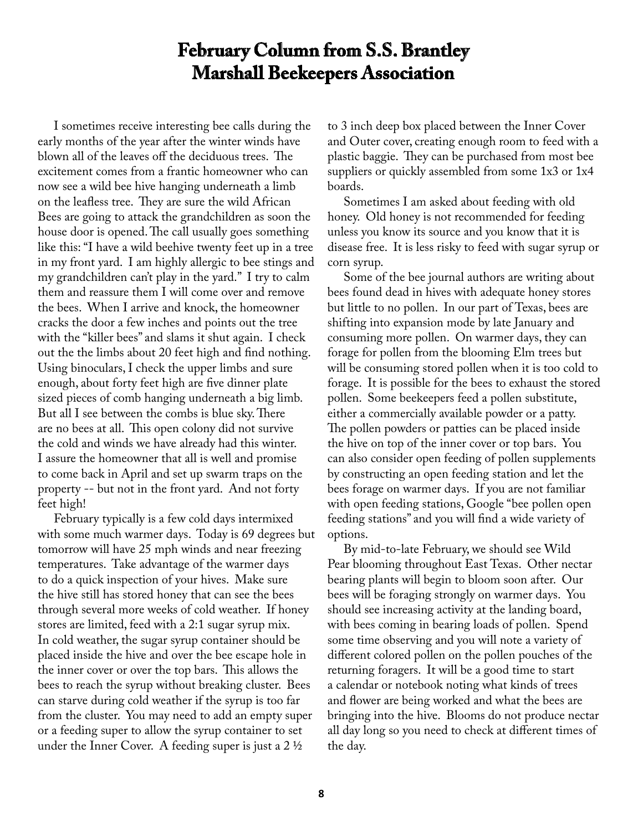## **February Column from S.S. Brantley Marshall Beekeepers Association**

 I sometimes receive interesting bee calls during the early months of the year after the winter winds have blown all of the leaves off the deciduous trees. The excitement comes from a frantic homeowner who can now see a wild bee hive hanging underneath a limb on the leafless tree. They are sure the wild African Bees are going to attack the grandchildren as soon the house door is opened. The call usually goes something like this: "I have a wild beehive twenty feet up in a tree in my front yard. I am highly allergic to bee stings and my grandchildren can't play in the yard." I try to calm them and reassure them I will come over and remove the bees. When I arrive and knock, the homeowner cracks the door a few inches and points out the tree with the "killer bees" and slams it shut again. I check out the the limbs about 20 feet high and find nothing. Using binoculars, I check the upper limbs and sure enough, about forty feet high are five dinner plate sized pieces of comb hanging underneath a big limb. But all I see between the combs is blue sky. There are no bees at all. This open colony did not survive the cold and winds we have already had this winter. I assure the homeowner that all is well and promise to come back in April and set up swarm traps on the property -- but not in the front yard. And not forty feet high!

 February typically is a few cold days intermixed with some much warmer days. Today is 69 degrees but tomorrow will have 25 mph winds and near freezing temperatures. Take advantage of the warmer days to do a quick inspection of your hives. Make sure the hive still has stored honey that can see the bees through several more weeks of cold weather. If honey stores are limited, feed with a 2:1 sugar syrup mix. In cold weather, the sugar syrup container should be placed inside the hive and over the bee escape hole in the inner cover or over the top bars. This allows the bees to reach the syrup without breaking cluster. Bees can starve during cold weather if the syrup is too far from the cluster. You may need to add an empty super or a feeding super to allow the syrup container to set under the Inner Cover. A feeding super is just a 2 ½

to 3 inch deep box placed between the Inner Cover and Outer cover, creating enough room to feed with a plastic baggie. They can be purchased from most bee suppliers or quickly assembled from some 1x3 or 1x4 boards.

 Sometimes I am asked about feeding with old honey. Old honey is not recommended for feeding unless you know its source and you know that it is disease free. It is less risky to feed with sugar syrup or corn syrup.

 Some of the bee journal authors are writing about bees found dead in hives with adequate honey stores but little to no pollen. In our part of Texas, bees are shifting into expansion mode by late January and consuming more pollen. On warmer days, they can forage for pollen from the blooming Elm trees but will be consuming stored pollen when it is too cold to forage. It is possible for the bees to exhaust the stored pollen. Some beekeepers feed a pollen substitute, either a commercially available powder or a patty. The pollen powders or patties can be placed inside the hive on top of the inner cover or top bars. You can also consider open feeding of pollen supplements by constructing an open feeding station and let the bees forage on warmer days. If you are not familiar with open feeding stations, Google "bee pollen open feeding stations" and you will find a wide variety of options.

 By mid-to-late February, we should see Wild Pear blooming throughout East Texas. Other nectar bearing plants will begin to bloom soon after. Our bees will be foraging strongly on warmer days. You should see increasing activity at the landing board, with bees coming in bearing loads of pollen. Spend some time observing and you will note a variety of different colored pollen on the pollen pouches of the returning foragers. It will be a good time to start a calendar or notebook noting what kinds of trees and flower are being worked and what the bees are bringing into the hive. Blooms do not produce nectar all day long so you need to check at different times of the day.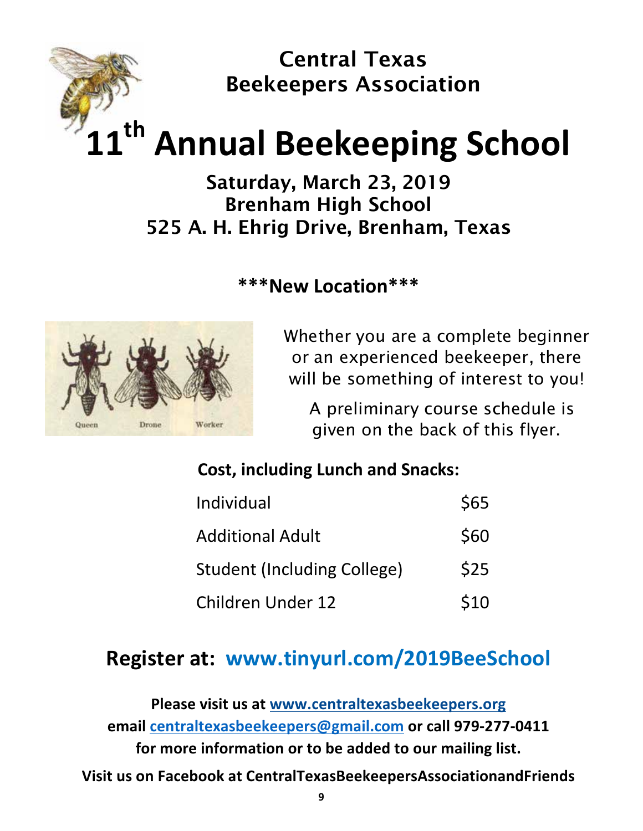

## **11th Annual Beekeeping School**

## Saturday, March 23, 2019 Brenham High School 525 A. H. Ehrig Drive, Brenham, Texas

## **\*\*\*New Location\*\*\***



Whether you are a complete beginner or an experienced beekeeper, there will be something of interest to you!

 A preliminary course schedule is given on the back of this flyer.

## **Cost, including Lunch and Snacks:**

| Individual                         | \$65 |
|------------------------------------|------|
| <b>Additional Adult</b>            | \$60 |
| <b>Student (Including College)</b> | \$25 |
| <b>Children Under 12</b>           | \$10 |

## **Register at: www.tinyurl.com/2019BeeSchool**

**Please visit us at www.centraltexasbeekeepers.org email centraltexasbeekeepers@gmail.com or call 979-277-0411** for more information or to be added to our mailing list. **Visit us on Facebook at CentralTexasBeekeepersAssociationandFriends**